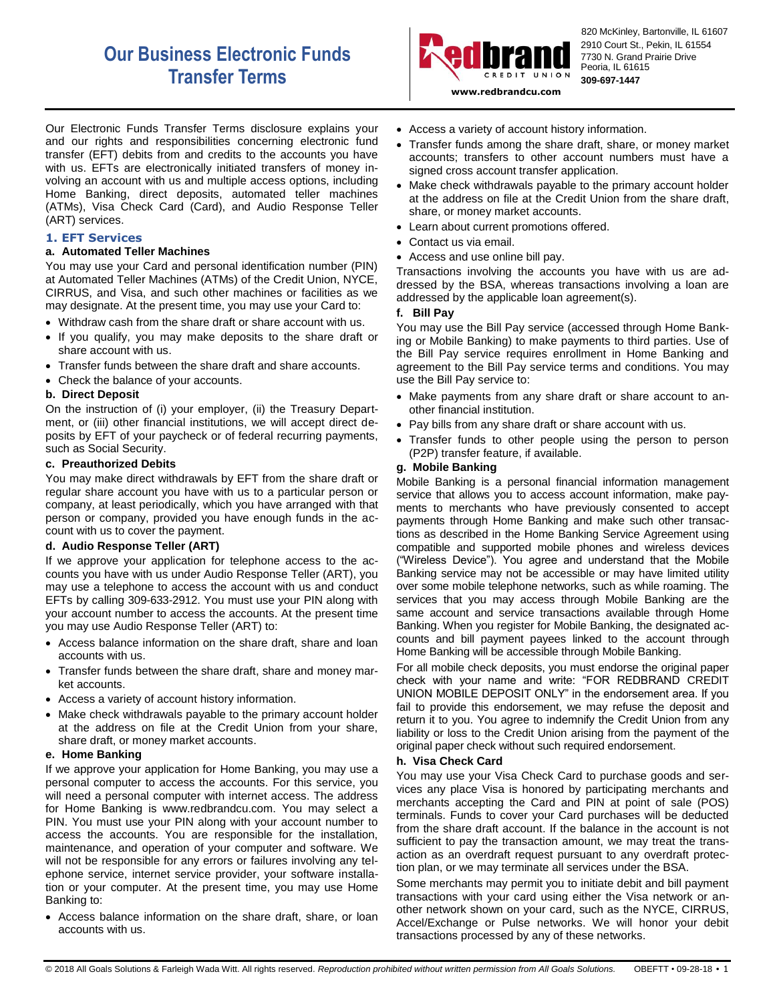# **Our Business Electronic Funds Transfer Terms**



820 McKinley, Bartonville, IL 61607 2910 Court St., Pekin, IL 61554 7730 N. Grand Prairie Drive Peoria, IL 61615 **309-697-1447**

**www.redbrandcu.com**

Our Electronic Funds Transfer Terms disclosure explains your and our rights and responsibilities concerning electronic fund transfer (EFT) debits from and credits to the accounts you have with us. EFTs are electronically initiated transfers of money involving an account with us and multiple access options, including Home Banking, direct deposits, automated teller machines (ATMs), Visa Check Card (Card), and Audio Response Teller (ART) services.

# **1. EFT Services**

## **a. Automated Teller Machines**

You may use your Card and personal identification number (PIN) at Automated Teller Machines (ATMs) of the Credit Union, NYCE, CIRRUS, and Visa, and such other machines or facilities as we may designate. At the present time, you may use your Card to:

- Withdraw cash from the share draft or share account with us.
- If you qualify, you may make deposits to the share draft or share account with us.
- Transfer funds between the share draft and share accounts.
- Check the balance of your accounts.

#### **b. Direct Deposit**

On the instruction of (i) your employer, (ii) the Treasury Department, or (iii) other financial institutions, we will accept direct deposits by EFT of your paycheck or of federal recurring payments, such as Social Security.

#### **c. Preauthorized Debits**

You may make direct withdrawals by EFT from the share draft or regular share account you have with us to a particular person or company, at least periodically, which you have arranged with that person or company, provided you have enough funds in the account with us to cover the payment.

# **d. Audio Response Teller (ART)**

If we approve your application for telephone access to the accounts you have with us under Audio Response Teller (ART), you may use a telephone to access the account with us and conduct EFTs by calling 309-633-2912. You must use your PIN along with your account number to access the accounts. At the present time you may use Audio Response Teller (ART) to:

- Access balance information on the share draft, share and loan accounts with us.
- Transfer funds between the share draft, share and money market accounts.
- Access a variety of account history information.
- Make check withdrawals payable to the primary account holder at the address on file at the Credit Union from your share, share draft, or money market accounts.

#### **e. Home Banking**

If we approve your application for Home Banking, you may use a personal computer to access the accounts. For this service, you will need a personal computer with internet access. The address for Home Banking is www.redbrandcu.com. You may select a PIN. You must use your PIN along with your account number to access the accounts. You are responsible for the installation, maintenance, and operation of your computer and software. We will not be responsible for any errors or failures involving any telephone service, internet service provider, your software installation or your computer. At the present time, you may use Home Banking to:

 Access balance information on the share draft, share, or loan accounts with us.

- Access a variety of account history information.
- Transfer funds among the share draft, share, or money market accounts; transfers to other account numbers must have a signed cross account transfer application.
- Make check withdrawals payable to the primary account holder at the address on file at the Credit Union from the share draft, share, or money market accounts.
- Learn about current promotions offered.
- Contact us via email.
- Access and use online bill pay.

Transactions involving the accounts you have with us are addressed by the BSA, whereas transactions involving a loan are addressed by the applicable loan agreement(s).

#### **f. Bill Pay**

You may use the Bill Pay service (accessed through Home Banking or Mobile Banking) to make payments to third parties. Use of the Bill Pay service requires enrollment in Home Banking and agreement to the Bill Pay service terms and conditions. You may use the Bill Pay service to:

- Make payments from any share draft or share account to another financial institution.
- Pay bills from any share draft or share account with us.
- Transfer funds to other people using the person to person (P2P) transfer feature, if available.

## **g. Mobile Banking**

Mobile Banking is a personal financial information management service that allows you to access account information, make payments to merchants who have previously consented to accept payments through Home Banking and make such other transactions as described in the Home Banking Service Agreement using compatible and supported mobile phones and wireless devices ("Wireless Device"). You agree and understand that the Mobile Banking service may not be accessible or may have limited utility over some mobile telephone networks, such as while roaming. The services that you may access through Mobile Banking are the same account and service transactions available through Home Banking. When you register for Mobile Banking, the designated accounts and bill payment payees linked to the account through Home Banking will be accessible through Mobile Banking.

For all mobile check deposits, you must endorse the original paper check with your name and write: "FOR REDBRAND CREDIT UNION MOBILE DEPOSIT ONLY" in the endorsement area. If you fail to provide this endorsement, we may refuse the deposit and return it to you. You agree to indemnify the Credit Union from any liability or loss to the Credit Union arising from the payment of the original paper check without such required endorsement.

#### **h. Visa Check Card**

You may use your Visa Check Card to purchase goods and services any place Visa is honored by participating merchants and merchants accepting the Card and PIN at point of sale (POS) terminals. Funds to cover your Card purchases will be deducted from the share draft account. If the balance in the account is not sufficient to pay the transaction amount, we may treat the transaction as an overdraft request pursuant to any overdraft protection plan, or we may terminate all services under the BSA.

Some merchants may permit you to initiate debit and bill payment transactions with your card using either the Visa network or another network shown on your card, such as the NYCE, CIRRUS, Accel/Exchange or Pulse networks. We will honor your debit transactions processed by any of these networks.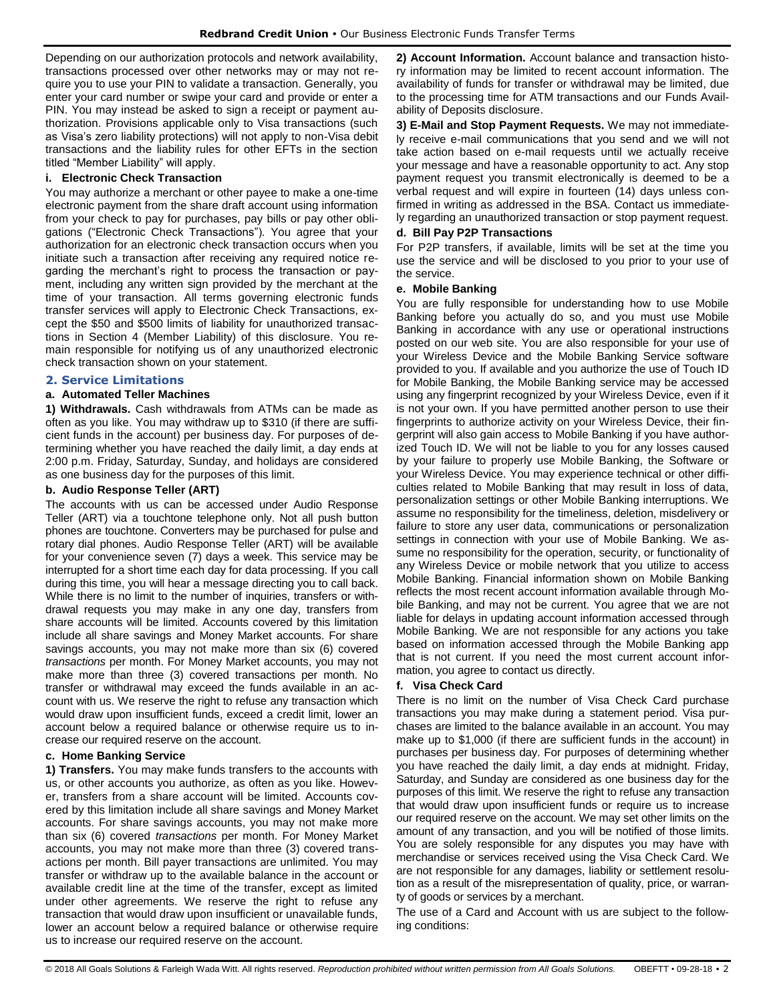Depending on our authorization protocols and network availability, transactions processed over other networks may or may not require you to use your PIN to validate a transaction. Generally, you enter your card number or swipe your card and provide or enter a PIN. You may instead be asked to sign a receipt or payment authorization. Provisions applicable only to Visa transactions (such as Visa's zero liability protections) will not apply to non-Visa debit transactions and the liability rules for other EFTs in the section titled "Member Liability" will apply.

# **i. Electronic Check Transaction**

You may authorize a merchant or other payee to make a one-time electronic payment from the share draft account using information from your check to pay for purchases, pay bills or pay other obligations ("Electronic Check Transactions"). You agree that your authorization for an electronic check transaction occurs when you initiate such a transaction after receiving any required notice regarding the merchant's right to process the transaction or payment, including any written sign provided by the merchant at the time of your transaction. All terms governing electronic funds transfer services will apply to Electronic Check Transactions, except the \$50 and \$500 limits of liability for unauthorized transactions in Section 4 (Member Liability) of this disclosure. You remain responsible for notifying us of any unauthorized electronic check transaction shown on your statement.

## **2. Service Limitations**

# **a. Automated Teller Machines**

**1) Withdrawals.** Cash withdrawals from ATMs can be made as often as you like. You may withdraw up to \$310 (if there are sufficient funds in the account) per business day. For purposes of determining whether you have reached the daily limit, a day ends at 2:00 p.m. Friday, Saturday, Sunday, and holidays are considered as one business day for the purposes of this limit.

#### **b. Audio Response Teller (ART)**

The accounts with us can be accessed under Audio Response Teller (ART) via a touchtone telephone only. Not all push button phones are touchtone. Converters may be purchased for pulse and rotary dial phones. Audio Response Teller (ART) will be available for your convenience seven (7) days a week. This service may be interrupted for a short time each day for data processing. If you call during this time, you will hear a message directing you to call back. While there is no limit to the number of inquiries, transfers or withdrawal requests you may make in any one day, transfers from share accounts will be limited. Accounts covered by this limitation include all share savings and Money Market accounts. For share savings accounts, you may not make more than six (6) covered *transactions* per month. For Money Market accounts, you may not make more than three (3) covered transactions per month. No transfer or withdrawal may exceed the funds available in an account with us. We reserve the right to refuse any transaction which would draw upon insufficient funds, exceed a credit limit, lower an account below a required balance or otherwise require us to increase our required reserve on the account.

#### **c. Home Banking Service**

**1) Transfers.** You may make funds transfers to the accounts with us, or other accounts you authorize, as often as you like. However, transfers from a share account will be limited. Accounts covered by this limitation include all share savings and Money Market accounts. For share savings accounts, you may not make more than six (6) covered *transactions* per month. For Money Market accounts, you may not make more than three (3) covered transactions per month. Bill payer transactions are unlimited. You may transfer or withdraw up to the available balance in the account or available credit line at the time of the transfer, except as limited under other agreements. We reserve the right to refuse any transaction that would draw upon insufficient or unavailable funds, lower an account below a required balance or otherwise require us to increase our required reserve on the account.

**2) Account Information.** Account balance and transaction history information may be limited to recent account information. The availability of funds for transfer or withdrawal may be limited, due to the processing time for ATM transactions and our Funds Availability of Deposits disclosure.

**3) E-Mail and Stop Payment Requests.** We may not immediately receive e-mail communications that you send and we will not take action based on e-mail requests until we actually receive your message and have a reasonable opportunity to act. Any stop payment request you transmit electronically is deemed to be a verbal request and will expire in fourteen (14) days unless confirmed in writing as addressed in the BSA. Contact us immediately regarding an unauthorized transaction or stop payment request.

# **d. Bill Pay P2P Transactions**

For P2P transfers, if available, limits will be set at the time you use the service and will be disclosed to you prior to your use of the service.

#### **e. Mobile Banking**

You are fully responsible for understanding how to use Mobile Banking before you actually do so, and you must use Mobile Banking in accordance with any use or operational instructions posted on our web site. You are also responsible for your use of your Wireless Device and the Mobile Banking Service software provided to you. If available and you authorize the use of Touch ID for Mobile Banking, the Mobile Banking service may be accessed using any fingerprint recognized by your Wireless Device, even if it is not your own. If you have permitted another person to use their fingerprints to authorize activity on your Wireless Device, their fingerprint will also gain access to Mobile Banking if you have authorized Touch ID. We will not be liable to you for any losses caused by your failure to properly use Mobile Banking, the Software or your Wireless Device. You may experience technical or other difficulties related to Mobile Banking that may result in loss of data, personalization settings or other Mobile Banking interruptions. We assume no responsibility for the timeliness, deletion, misdelivery or failure to store any user data, communications or personalization settings in connection with your use of Mobile Banking. We assume no responsibility for the operation, security, or functionality of any Wireless Device or mobile network that you utilize to access Mobile Banking. Financial information shown on Mobile Banking reflects the most recent account information available through Mobile Banking, and may not be current. You agree that we are not liable for delays in updating account information accessed through Mobile Banking. We are not responsible for any actions you take based on information accessed through the Mobile Banking app that is not current. If you need the most current account information, you agree to contact us directly.

#### **f. Visa Check Card**

There is no limit on the number of Visa Check Card purchase transactions you may make during a statement period. Visa purchases are limited to the balance available in an account. You may make up to \$1,000 (if there are sufficient funds in the account) in purchases per business day. For purposes of determining whether you have reached the daily limit, a day ends at midnight. Friday, Saturday, and Sunday are considered as one business day for the purposes of this limit. We reserve the right to refuse any transaction that would draw upon insufficient funds or require us to increase our required reserve on the account. We may set other limits on the amount of any transaction, and you will be notified of those limits. You are solely responsible for any disputes you may have with merchandise or services received using the Visa Check Card. We are not responsible for any damages, liability or settlement resolution as a result of the misrepresentation of quality, price, or warranty of goods or services by a merchant.

The use of a Card and Account with us are subject to the following conditions: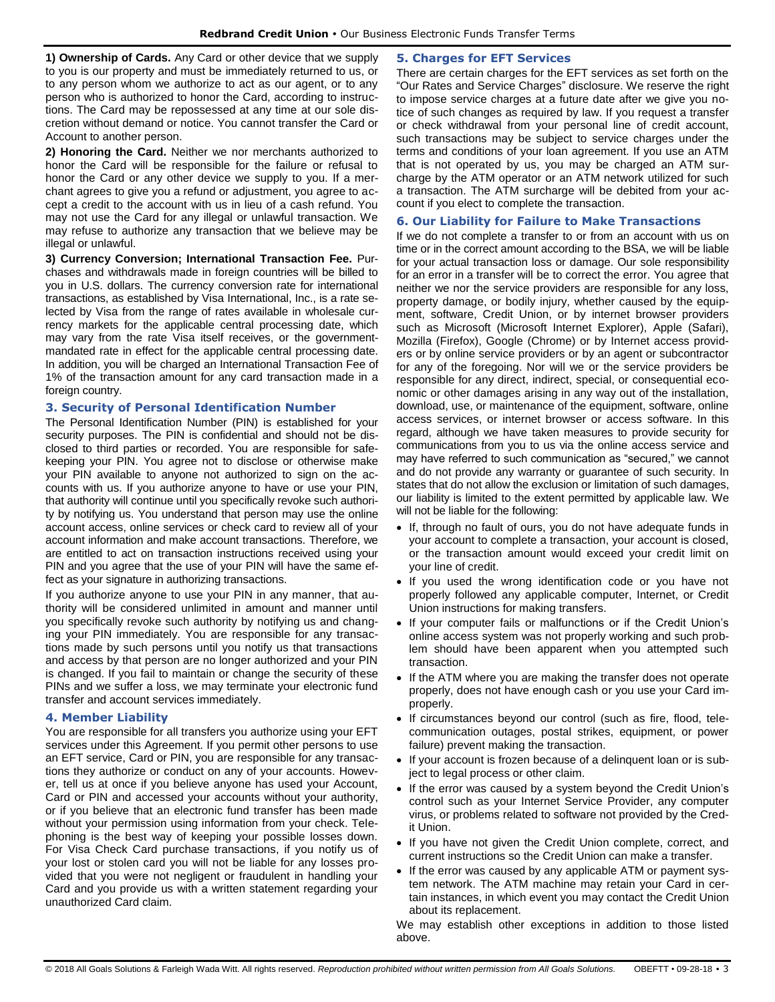**1) Ownership of Cards.** Any Card or other device that we supply to you is our property and must be immediately returned to us, or to any person whom we authorize to act as our agent, or to any person who is authorized to honor the Card, according to instructions. The Card may be repossessed at any time at our sole discretion without demand or notice. You cannot transfer the Card or Account to another person.

**2) Honoring the Card.** Neither we nor merchants authorized to honor the Card will be responsible for the failure or refusal to honor the Card or any other device we supply to you. If a merchant agrees to give you a refund or adjustment, you agree to accept a credit to the account with us in lieu of a cash refund. You may not use the Card for any illegal or unlawful transaction. We may refuse to authorize any transaction that we believe may be illegal or unlawful.

**3) Currency Conversion; International Transaction Fee.** Purchases and withdrawals made in foreign countries will be billed to you in U.S. dollars. The currency conversion rate for international transactions, as established by Visa International, Inc., is a rate selected by Visa from the range of rates available in wholesale currency markets for the applicable central processing date, which may vary from the rate Visa itself receives, or the governmentmandated rate in effect for the applicable central processing date. In addition, you will be charged an International Transaction Fee of 1% of the transaction amount for any card transaction made in a foreign country.

# **3. Security of Personal Identification Number**

The Personal Identification Number (PIN) is established for your security purposes. The PIN is confidential and should not be disclosed to third parties or recorded. You are responsible for safekeeping your PIN. You agree not to disclose or otherwise make your PIN available to anyone not authorized to sign on the accounts with us. If you authorize anyone to have or use your PIN, that authority will continue until you specifically revoke such authority by notifying us. You understand that person may use the online account access, online services or check card to review all of your account information and make account transactions. Therefore, we are entitled to act on transaction instructions received using your PIN and you agree that the use of your PIN will have the same effect as your signature in authorizing transactions.

If you authorize anyone to use your PIN in any manner, that authority will be considered unlimited in amount and manner until you specifically revoke such authority by notifying us and changing your PIN immediately. You are responsible for any transactions made by such persons until you notify us that transactions and access by that person are no longer authorized and your PIN is changed. If you fail to maintain or change the security of these PINs and we suffer a loss, we may terminate your electronic fund transfer and account services immediately.

# **4. Member Liability**

You are responsible for all transfers you authorize using your EFT services under this Agreement. If you permit other persons to use an EFT service, Card or PIN, you are responsible for any transactions they authorize or conduct on any of your accounts. However, tell us at once if you believe anyone has used your Account, Card or PIN and accessed your accounts without your authority, or if you believe that an electronic fund transfer has been made without your permission using information from your check. Telephoning is the best way of keeping your possible losses down. For Visa Check Card purchase transactions, if you notify us of your lost or stolen card you will not be liable for any losses provided that you were not negligent or fraudulent in handling your Card and you provide us with a written statement regarding your unauthorized Card claim.

# **5. Charges for EFT Services**

There are certain charges for the EFT services as set forth on the "Our Rates and Service Charges" disclosure. We reserve the right to impose service charges at a future date after we give you notice of such changes as required by law. If you request a transfer or check withdrawal from your personal line of credit account, such transactions may be subject to service charges under the terms and conditions of your loan agreement. If you use an ATM that is not operated by us, you may be charged an ATM surcharge by the ATM operator or an ATM network utilized for such a transaction. The ATM surcharge will be debited from your account if you elect to complete the transaction.

# **6. Our Liability for Failure to Make Transactions**

If we do not complete a transfer to or from an account with us on time or in the correct amount according to the BSA, we will be liable for your actual transaction loss or damage. Our sole responsibility for an error in a transfer will be to correct the error. You agree that neither we nor the service providers are responsible for any loss, property damage, or bodily injury, whether caused by the equipment, software, Credit Union, or by internet browser providers such as Microsoft (Microsoft Internet Explorer), Apple (Safari), Mozilla (Firefox), Google (Chrome) or by Internet access providers or by online service providers or by an agent or subcontractor for any of the foregoing. Nor will we or the service providers be responsible for any direct, indirect, special, or consequential economic or other damages arising in any way out of the installation, download, use, or maintenance of the equipment, software, online access services, or internet browser or access software. In this regard, although we have taken measures to provide security for communications from you to us via the online access service and may have referred to such communication as "secured," we cannot and do not provide any warranty or guarantee of such security. In states that do not allow the exclusion or limitation of such damages, our liability is limited to the extent permitted by applicable law. We will not be liable for the following:

- If, through no fault of ours, you do not have adequate funds in your account to complete a transaction, your account is closed, or the transaction amount would exceed your credit limit on your line of credit.
- If you used the wrong identification code or you have not properly followed any applicable computer, Internet, or Credit Union instructions for making transfers.
- If your computer fails or malfunctions or if the Credit Union's online access system was not properly working and such problem should have been apparent when you attempted such transaction.
- If the ATM where you are making the transfer does not operate properly, does not have enough cash or you use your Card improperly.
- If circumstances beyond our control (such as fire, flood, telecommunication outages, postal strikes, equipment, or power failure) prevent making the transaction.
- If your account is frozen because of a delinquent loan or is subject to legal process or other claim.
- If the error was caused by a system beyond the Credit Union's control such as your Internet Service Provider, any computer virus, or problems related to software not provided by the Credit Union.
- If you have not given the Credit Union complete, correct, and current instructions so the Credit Union can make a transfer.
- If the error was caused by any applicable ATM or payment system network. The ATM machine may retain your Card in certain instances, in which event you may contact the Credit Union about its replacement.

We may establish other exceptions in addition to those listed above.